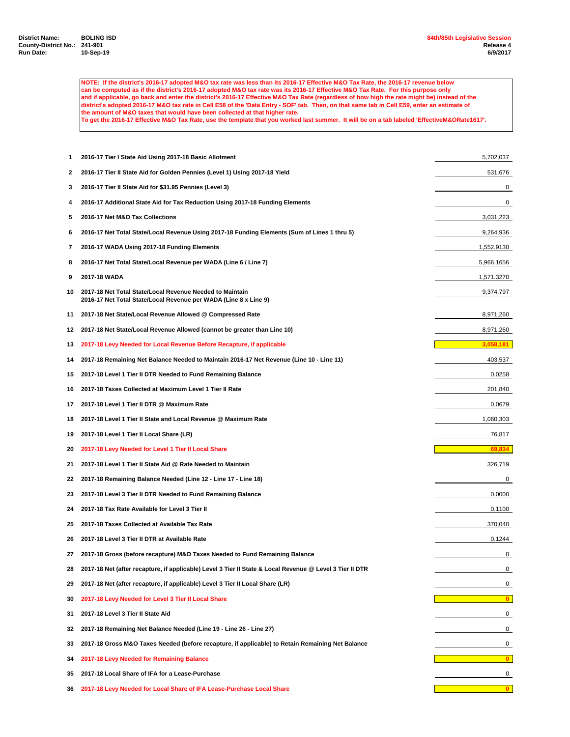**NOTE: If the district's 2016-17 adopted M&O tax rate was less than its 2016-17 Effective M&O Tax Rate, the 2016-17 revenue below can be computed as if the district's 2016-17 adopted M&O tax rate was its 2016-17 Effective M&O Tax Rate. For this purpose only and if applicable, go back and enter the district's 2016-17 Effective M&O Tax Rate (regardless of how high the rate might be) instead of the district's adopted 2016-17 M&O tax rate in Cell E58 of the 'Data Entry - SOF' tab. Then, on that same tab in Cell E59, enter an estimate of the amount of M&O taxes that would have been collected at that higher rate. To get the 2016-17 Effective M&O Tax Rate, use the template that you worked last summer. It will be on a tab labeled 'EffectiveM&ORate1617'.**

 **2016-17 Tier I State Aid Using 2017-18 Basic Allotment** 5,702,037 **2016-17 Tier II State Aid for Golden Pennies (Level 1) Using 2017-18 Yield** 531,676 **2016-17 Tier II State Aid for \$31.95 Pennies (Level 3)** 0 **2016-17 Additional State Aid for Tax Reduction Using 2017-18 Funding Elements** 0 **2016-17 Net M&O Tax Collections** 3,031,223 **2016-17 Net Total State/Local Revenue Using 2017-18 Funding Elements (Sum of Lines 1 thru 5)** 9,264,936 **2016-17 WADA Using 2017-18 Funding Elements** 1,552.9130 **2016-17 Net Total State/Local Revenue per WADA (Line 6 / Line 7)** 5,966.1656 **2017-18 WADA** 1,571.3270 **2017-18 Net Total State/Local Revenue Needed to Maintain** 9,374,797 **2016-17 Net Total State/Local Revenue per WADA (Line 8 x Line 9) 2017-18 Net State/Local Revenue Allowed @ Compressed Rate** 8,971,260 **2017-18 Net State/Local Revenue Allowed (cannot be greater than Line 10)** 8,971,260 **2017-18 Levy Needed for Local Revenue Before Recapture, if applicable 2017-18 Remaining Net Balance Needed to Maintain 2016-17 Net Revenue (Line 10 - Line 11)** 403,537 **2017-18 Level 1 Tier II DTR Needed to Fund Remaining Balance** 0.0258 **2017-18 Taxes Collected at Maximum Level 1 Tier II Rate** 201,840 **2017-18 Level 1 Tier II DTR @ Maximum Rate** 0.0679 **2017-18 Level 1 Tier II State and Local Revenue @ Maximum Rate** 1,060,303 **1,060,303 2017-18 Level 1 Tier II Local Share (LR)** 76,817 **2017-18 Levy Needed for Level 1 Tier II Local Share** 69,834 **2017-18 Level 1 Tier II State Aid @ Rate Needed to Maintain** 326,719 **2017-18 Remaining Balance Needed (Line 12 - Line 17 - Line 18)** 0 **2017-18 Level 3 Tier II DTR Needed to Fund Remaining Balance** 0.0000 **2017-18 Tax Rate Available for Level 3 Tier II** 0.1100 **2017-18 Taxes Collected at Available Tax Rate** 370,040 **2017-18 Level 3 Tier II DTR at Available Rate** 0.1244 **2017-18 Gross (before recapture) M&O Taxes Needed to Fund Remaining Balance** 0 **2017-18 Net (after recapture, if applicable) Level 3 Tier II State & Local Revenue @ Level 3 Tier II DTR** 0 **2017-18 Net (after recapture, if applicable) Level 3 Tier II Local Share (LR)** 0 **2017-18 Levy Needed for Level 3 Tier II Local Share 0 2017-18 Level 3 Tier II State Aid** 0 **2017-18 Remaining Net Balance Needed (Line 19 - Line 26 - Line 27)** 0 **2017-18 Gross M&O Taxes Needed (before recapture, if applicable) to Retain Remaining Net Balance** 0 **2017-18 Levy Needed for Remaining Balance 0 2017-18 Local Share of IFA for a Lease-Purchase** 0 **2017-18 Levy Needed for Local Share of IFA Lease-Purchase Local Share 0**